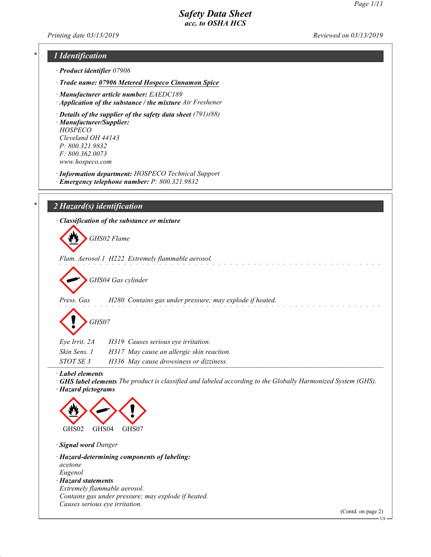Printing date  $03/13/2019$  Reviewed on  $03/13/2019$ 

# 1 Identification

- · Product identifier 07906
- · Trade name: 07906 Metered Hospeco Cinnamon Spice
- · Manufacturer article number: EAEDC189
- · Application of the substance / the mixture Air Freshener
- · Details of the supplier of the safety data sheet (791)(88) · Manufacturer/Supplier: HOSPECO Cleveland OH 44143 P: 800.321.9832 F: 800.362.0073 www.hospeco.com
- · Information department: HOSPECO Technical Support · Emergency telephone number: P: 800.321.9832

# $2$  Hazard(s) identification

|                                       | · Classification of the substance or mixture<br>GHS02 Flame                                                         |
|---------------------------------------|---------------------------------------------------------------------------------------------------------------------|
|                                       | Flam. Aerosol 1 H222 Extremely flammable aerosol.                                                                   |
|                                       | GHS04 Gas cylinder                                                                                                  |
| Press. Gas                            | H280 Contains gas under pressure; may explode if heated.                                                            |
| GHS07                                 |                                                                                                                     |
| Eye Irrit. 2A                         | H319 Causes serious eye irritation.                                                                                 |
| Skin Sens. 1                          | H317 May cause an allergic skin reaction.                                                                           |
| STOT SE 3                             | H336 May cause drowsiness or dizziness.                                                                             |
| Label elements<br>· Hazard pictograms | $\cdot$ GHS label elements The product is classified and labeled according to the Globally Harmonized System (GHS). |



· Signal word Danger

48.0

- · Hazard-determining components of labeling: acetone Eugenol
- · Hazard statements Extremely flammable aerosol. Contains gas under pressure; may explode if heated. Causes serious eye irritation.

(Contd. on page 2)

 $\sim$   $\sim$ 

US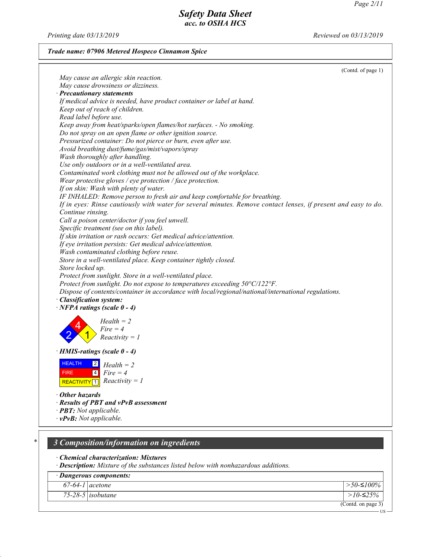US

# Safety Data Sheet acc. to OSHA HCS

Printing date 03/13/2019 Reviewed on 03/13/2019

## Trade name: 07906 Metered Hospeco Cinnamon Spice

|                                                                                                                | (Contd. of page 1) |
|----------------------------------------------------------------------------------------------------------------|--------------------|
| May cause an allergic skin reaction.                                                                           |                    |
| May cause drowsiness or dizziness.                                                                             |                    |
| · Precautionary statements                                                                                     |                    |
| If medical advice is needed, have product container or label at hand.                                          |                    |
| Keep out of reach of children.                                                                                 |                    |
| Read label before use.                                                                                         |                    |
| Keep away from heat/sparks/open flames/hot surfaces. - No smoking.                                             |                    |
| Do not spray on an open flame or other ignition source.                                                        |                    |
| Pressurized container: Do not pierce or burn, even after use.                                                  |                    |
| Avoid breathing dust/fume/gas/mist/vapors/spray                                                                |                    |
| Wash thoroughly after handling.                                                                                |                    |
| Use only outdoors or in a well-ventilated area.                                                                |                    |
| Contaminated work clothing must not be allowed out of the workplace.                                           |                    |
| Wear protective gloves / eye protection / face protection.                                                     |                    |
| If on skin: Wash with plenty of water.                                                                         |                    |
| IF INHALED: Remove person to fresh air and keep comfortable for breathing.                                     |                    |
| If in eyes: Rinse cautiously with water for several minutes. Remove contact lenses, if present and easy to do. |                    |
| Continue rinsing.                                                                                              |                    |
| Call a poison center/doctor if you feel unwell.                                                                |                    |
| Specific treatment (see on this label).                                                                        |                    |
| If skin irritation or rash occurs: Get medical advice/attention.                                               |                    |
| If eye irritation persists: Get medical advice/attention.                                                      |                    |
| Wash contaminated clothing before reuse.                                                                       |                    |
| Store in a well-ventilated place. Keep container tightly closed.                                               |                    |
| Store locked up.                                                                                               |                    |
| Protect from sunlight. Store in a well-ventilated place.                                                       |                    |
| Protect from sunlight. Do not expose to temperatures exceeding 50°C/122°F.                                     |                    |
| Dispose of contents/container in accordance with local/regional/national/international regulations.            |                    |
| · Classification system:                                                                                       |                    |
| $\cdot$ NFPA ratings (scale 0 - 4)                                                                             |                    |
|                                                                                                                |                    |
| $Health = 2$                                                                                                   |                    |
| $Fire = 4$                                                                                                     |                    |
| $Reactivity = 1$                                                                                               |                    |
|                                                                                                                |                    |
| $\cdot$ HMIS-ratings (scale 0 - 4)                                                                             |                    |
| <b>HEALTH</b><br>$\boxed{2}$ Health = 2                                                                        |                    |
| $\boxed{4}$<br>$Fire = 4$<br><b>FIRE</b>                                                                       |                    |
| REACTIVITY 1 $\boxed{$ Reactivity = 1                                                                          |                    |
|                                                                                                                |                    |
| $\cdot$ Other hazards                                                                                          |                    |
| · Results of PBT and vPvB assessment                                                                           |                    |
| $\cdot$ <b>PBT:</b> Not applicable.                                                                            |                    |
| $\cdot$ vPvB: Not applicable.                                                                                  |                    |
|                                                                                                                |                    |
|                                                                                                                |                    |
| 3 Composition/information on ingredients                                                                       |                    |

· Chemical characterization: Mixtures

48.0

· Description: Mixture of the substances listed below with nonhazardous additions.

|                   | · Dangerous components:  |                    |
|-------------------|--------------------------|--------------------|
| $67-64-1$ acetone |                          | $>$ 50-≤100%       |
|                   | 75-28-5 <i>isobutane</i> | >10-≤25%           |
|                   |                          | (Contd. on page 3) |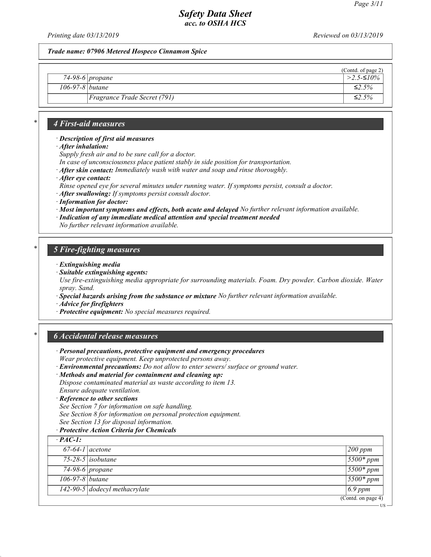US

# Safety Data Sheet acc. to OSHA HCS

Printing date 03/13/2019 Reviewed on 03/13/2019

Trade name: 07906 Metered Hospeco Cinnamon Spice

| 74-98-6 propane<br>106-97-8 <i>butane</i><br>$\leq 2.5\%$ |                                     | (Contd. of page 2)           |
|-----------------------------------------------------------|-------------------------------------|------------------------------|
|                                                           |                                     | $\frac{1}{2.5}$ - $\leq$ 10% |
|                                                           |                                     |                              |
|                                                           | <i>Fragrance Trade Secret (791)</i> | ≤2.5%                        |

## 4 First-aid measures

#### · Description of first aid measures

- · After inhalation:
- Supply fresh air and to be sure call for a doctor.
- In case of unconsciousness place patient stably in side position for transportation.
- · After skin contact: Immediately wash with water and soap and rinse thoroughly.
- · After eye contact:
- Rinse opened eye for several minutes under running water. If symptoms persist, consult a doctor.
- · After swallowing: If symptoms persist consult doctor.
- · Information for doctor:
- · Most important symptoms and effects, both acute and delayed No further relevant information available.
- · Indication of any immediate medical attention and special treatment needed

No further relevant information available.

### 5 Fire-fighting measures

- · Extinguishing media
- · Suitable extinguishing agents:

Use fire-extinguishing media appropriate for surrounding materials. Foam. Dry powder. Carbon dioxide. Water spray. Sand.

- · Special hazards arising from the substance or mixture No further relevant information available.
- · Advice for firefighters
- · Protective equipment: No special measures required.

### \* 6 Accidental release measures

- · Personal precautions, protective equipment and emergency procedures Wear protective equipment. Keep unprotected persons away.
- · Environmental precautions: Do not allow to enter sewers/ surface or ground water.
- · Methods and material for containment and cleaning up: Dispose contaminated material as waste according to item 13. Ensure adequate ventilation.
- · Reference to other sections

48.0

- See Section 7 for information on safe handling. See Section 8 for information on personal protection equipment.
- See Section 13 for disposal information.
- · Protective Action Criteria for Chemicals

| $\cdot$ PAC-1:           |                               |                                        |
|--------------------------|-------------------------------|----------------------------------------|
| $67-64-1$ acetone        |                               | $200$ ppm                              |
|                          | $75-28-5$ isobutane           | $5500*ppm$                             |
|                          | $74-98-6$ propane             | $5500*ppm$                             |
| $\sqrt{106-97-8}$ butane |                               | $5500*ppm$                             |
|                          | 142-90-5 dodecyl methacrylate | $\vert$ 6.9 ppm                        |
|                          |                               | $\overline{(\text{Contd. on page 4})}$ |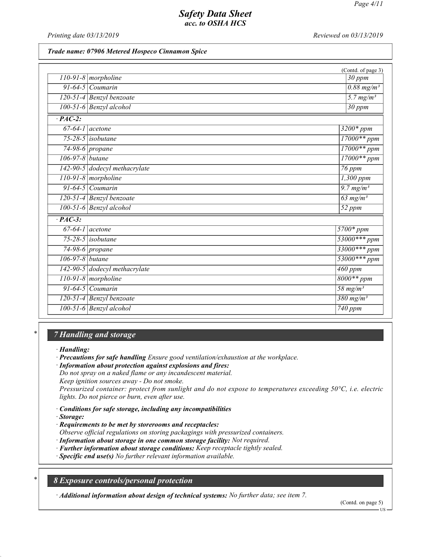Printing date 03/13/2019 **Reviewed on 03/13/2019** Reviewed on 03/13/2019

### Trade name: 07906 Metered Hospeco Cinnamon Spice

|                 |                                 | (Contd. of page 3)               |
|-----------------|---------------------------------|----------------------------------|
|                 | $110-91-8$ morpholine           | $30$ ppm                         |
|                 | $91-64-5$ Coumarin              | $0.88 \; mg/m^3$                 |
|                 | 120-51-4 Benzyl benzoate        | $\overline{5.7 \, mg/m^3}$       |
|                 | 100-51-6 Benzyl alcohol         | $30$ ppm                         |
| $\cdot$ PAC-2:  |                                 |                                  |
|                 | $67-64-1$ acetone               | $3200*ppm$                       |
|                 | $75-28-5$ isobutane             | $17000**$ ppm                    |
|                 | $\overline{74-98-6}$ propane    | $17000**ppm$                     |
| 106-97-8 butane |                                 | $17000**ppm$                     |
|                 | $142-90-5$ dodecyl methacrylate | 76 ppm                           |
|                 | $110-91-8$ morpholine           | $1,300$ ppm                      |
|                 | $91-64-5$ Coumarin              | $\frac{1}{9.7 \text{ mg/m}^3}$   |
|                 | 120-51-4 Benzyl benzoate        | $63$ mg/m <sup>3</sup>           |
|                 | 100-51-6 Benzyl alcohol         | $\overline{52~ppm}$              |
| $\cdot$ PAC-3:  |                                 |                                  |
|                 | $67-64-1$ acetone               | $5700*ppm$                       |
|                 | $75-28-5$ isobutane             | $53000***$ ppm                   |
|                 | $74-98-6$ propane               | $33000***$ ppm                   |
| 106-97-8 butane |                                 | $53000***ppm$                    |
|                 | 142-90-5 dodecyl methacrylate   | $460$ ppm                        |
|                 | $110-91-8$ morpholine           | $8000**ppm$                      |
|                 | $91-64-5$ Coumarin              | $\frac{58}{m}$ mg/m <sup>3</sup> |
|                 | 120-51-4 Benzyl benzoate        | $\frac{380 \text{ mg/m}^3}{ }$   |
|                 | $100-51-6$ Benzyl alcohol       | $740$ ppm                        |

# 7 Handling and storage

· Handling:

· Precautions for safe handling Ensure good ventilation/exhaustion at the workplace.

· Information about protection against explosions and fires:

Do not spray on a naked flame or any incandescent material.

Keep ignition sources away - Do not smoke.

Pressurized container: protect from sunlight and do not expose to temperatures exceeding 50°C, i.e. electric lights. Do not pierce or burn, even after use.

· Conditions for safe storage, including any incompatibilities

· Storage:

48.0

· Requirements to be met by storerooms and receptacles:

Observe official regulations on storing packagings with pressurized containers.

· Information about storage in one common storage facility: Not required.

· Further information about storage conditions: Keep receptacle tightly sealed.

· Specific end use(s) No further relevant information available.

\* 8 Exposure controls/personal protection

· Additional information about design of technical systems: No further data; see item 7.

(Contd. on page 5)

US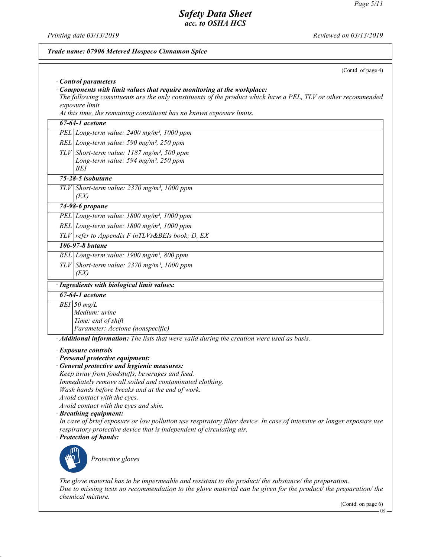Printing date 03/13/2019 Reviewed on 03/13/2019

48.0

# Trade name: 07906 Metered Hospeco Cinnamon Spice (Contd. of page 4) · Control parameters · Components with limit values that require monitoring at the workplace: The following constituents are the only constituents of the product which have a PEL, TLV or other recommended exposure limit. At this time, the remaining constituent has no known exposure limits. 67-64-1 acetone PEL Long-term value: 2400 mg/m<sup>3</sup>, 1000 ppm REL Long-term value: 590 mg/m<sup>3</sup>, 250 ppm TLV Short-term value:  $1187 \text{ mg/m}^3$ , 500 ppm Long-term value:  $594$  mg/m<sup>3</sup>,  $250$  ppm BEI 75-28-5 isobutane TLV Short-term value:  $2370$  mg/m<sup>3</sup>, 1000 ppm (EX) 74-98-6 propane PEL Long-term value: 1800 mg/m<sup>3</sup>, 1000 ppm REL Long-term value:  $1800$  mg/m<sup>3</sup>, 1000 ppm  $TLV$  refer to Appendix F inTLVs&BEIs book; D, EX 106-97-8 butane REL Long-term value: 1900 mg/m<sup>3</sup>, 800 ppm TLV Short-term value:  $2370$  mg/m<sup>3</sup>, 1000 ppm (EX) · Ingredients with biological limit values: 67-64-1 acetone  $BEI$  50 mg/L Medium: urine Time: end of shift Parameter: Acetone (nonspecific) · Additional information: The lists that were valid during the creation were used as basis. · Exposure controls · Personal protective equipment: · General protective and hygienic measures: Keep away from foodstuffs, beverages and feed. Immediately remove all soiled and contaminated clothing. Wash hands before breaks and at the end of work. Avoid contact with the eyes. Avoid contact with the eyes and skin. · Breathing equipment: In case of brief exposure or low pollution use respiratory filter device. In case of intensive or longer exposure use respiratory protective device that is independent of circulating air. · Protection of hands: Protective gloves The glove material has to be impermeable and resistant to the product/ the substance/ the preparation. Due to missing tests no recommendation to the glove material can be given for the product/ the preparation/ the chemical mixture.

(Contd. on page 6)

US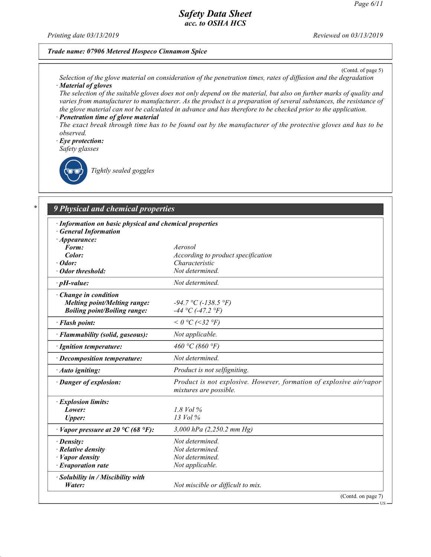Printing date  $03/13/2019$  Reviewed on  $03/13/2019$ 

### Trade name: 07906 Metered Hospeco Cinnamon Spice

(Contd. of page 5)

Selection of the glove material on consideration of the penetration times, rates of diffusion and the degradation · Material of gloves

The selection of the suitable gloves does not only depend on the material, but also on further marks of quality and varies from manufacturer to manufacturer. As the product is a preparation of several substances, the resistance of the glove material can not be calculated in advance and has therefore to be checked prior to the application. Penetration time of glove material

The exact break through time has to be found out by the manufacturer of the protective gloves and has to be observed.

- · Eye protection:
- Safety glasses



48.0

Tightly sealed goggles

# 9 Physical and chemical properties

| · Information on basic physical and chemical properties<br><b>General Information</b> |                                                                                               |
|---------------------------------------------------------------------------------------|-----------------------------------------------------------------------------------------------|
| $\cdot$ Appearance:                                                                   |                                                                                               |
| Form:                                                                                 | Aerosol                                                                                       |
| Color:                                                                                | According to product specification                                                            |
| $\cdot$ Odor:                                                                         | Characteristic                                                                                |
| · Odor threshold:                                                                     | Not determined                                                                                |
| $\cdot$ pH-value:                                                                     | Not determined.                                                                               |
| $\cdot$ Change in condition                                                           |                                                                                               |
| <b>Melting point/Melting range:</b>                                                   | $-94.7 °C (-138.5 °F)$                                                                        |
| <b>Boiling point/Boiling range:</b>                                                   | $-44$ °C (-47.2 °F)                                                                           |
| · Flash point:                                                                        | $< 0$ °C (<32 °F)                                                                             |
| · Flammability (solid, gaseous):                                                      | Not applicable.                                                                               |
| · Ignition temperature:                                                               | 460 °C (860 °F)                                                                               |
| · Decomposition temperature:                                                          | Not determined.                                                                               |
| · Auto igniting:                                                                      | Product is not selfigniting.                                                                  |
| · Danger of explosion:                                                                | Product is not explosive. However, formation of explosive air/vapor<br>mixtures are possible. |
| · Explosion limits:                                                                   |                                                                                               |
| Lower:                                                                                | $1.8$ Vol $\%$                                                                                |
| <b>Upper:</b>                                                                         | $13$ Vol $\%$                                                                                 |
| $\cdot$ Vapor pressure at 20 °C (68 °F):                                              | 3,000 hPa (2,250.2 mm Hg)                                                                     |
| $\cdot$ Density:                                                                      | Not determined.                                                                               |
| $\cdot$ Relative density                                                              | Not determined.                                                                               |
| $\cdot$ <i>Vapor density</i>                                                          | Not determined.                                                                               |
| $\cdot$ Evaporation rate                                                              | Not applicable.                                                                               |
| · Solubility in / Miscibility with                                                    |                                                                                               |
| Water:                                                                                | Not miscible or difficult to mix.                                                             |
|                                                                                       | (Contd. on page 7)                                                                            |

US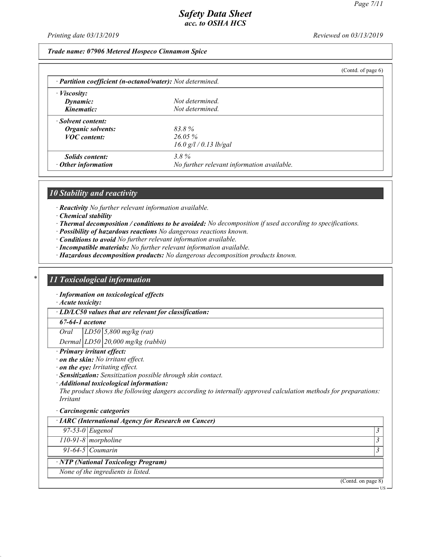Printing date 03/13/2019 Reviewed on 03/13/2019

Trade name: 07906 Metered Hospeco Cinnamon Spice

|                                                            |                                            | (Contd. of page $6$ ) |
|------------------------------------------------------------|--------------------------------------------|-----------------------|
| · Partition coefficient (n-octanol/water): Not determined. |                                            |                       |
| $\cdot$ <i>Viscosity:</i>                                  |                                            |                       |
| Dynamic:                                                   | Not determined.                            |                       |
| Kinematic:                                                 | Not determined.                            |                       |
| · Solvent content:                                         |                                            |                       |
| Organic solvents:                                          | 83.8%                                      |                       |
| <b>VOC</b> content:                                        | $26.05\%$                                  |                       |
|                                                            | $16.0$ g/l / 0.13 lb/gal                   |                       |
| <i>Solids content:</i>                                     | $3.8\%$                                    |                       |
| $\cdot$ Other information                                  | No further relevant information available. |                       |

### 10 Stability and reactivity

· Reactivity No further relevant information available.

· Chemical stability

- · Thermal decomposition / conditions to be avoided: No decomposition if used according to specifications.
- · Possibility of hazardous reactions No dangerous reactions known.
- · Conditions to avoid No further relevant information available.
- · Incompatible materials: No further relevant information available.
- · Hazardous decomposition products: No dangerous decomposition products known.

### 11 Toxicological information

· Information on toxicological effects

· Acute toxicity:

· LD/LC50 values that are relevant for classification:

#### 67-64-1 acetone

Oral LD50 5,800 mg/kg (rat)

Dermal  $LD50$  20,000 mg/kg (rabbit)

#### · Primary irritant effect:

· on the skin: No irritant effect.

· on the eye: Irritating effect.

· Sensitization: Sensitization possible through skin contact.

· Additional toxicological information:

The product shows the following dangers according to internally approved calculation methods for preparations: Irritant

#### · Carcinogenic categories

#### · IARC (International Agency for Research on Cancer)

 $97-53-0$  Eugenol 3

 $110-91-8$  morpholine  $\frac{3}{3}$ 

91-64-5 Coumarin  $\frac{3}{3}$ 

48.0

· NTP (National Toxicology Program)

None of the ingredients is listed.

(Contd. on page 8)

US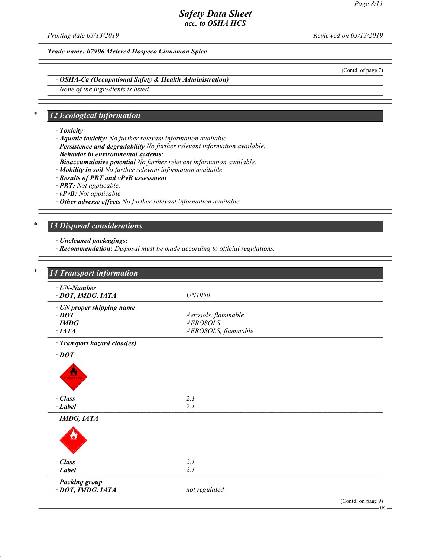Printing date  $03/13/2019$  Reviewed on  $03/13/2019$ 

Trade name: 07906 Metered Hospeco Cinnamon Spice

(Contd. of page 7)

· OSHA-Ca (Occupational Safety & Health Administration)

None of the ingredients is listed.

# 12 Ecological information

- · Toxicity
- · Aquatic toxicity: No further relevant information available.
- · Persistence and degradability No further relevant information available.
- · Behavior in environmental systems:
- · Bioaccumulative potential No further relevant information available.
- · Mobility in soil No further relevant information available.
- · Results of PBT and vPvB assessment
- · PBT: Not applicable.
- · vPvB: Not applicable.
- · Other adverse effects No further relevant information available.

### 13 Disposal considerations

· Uncleaned packagings:

48.0

· Recommendation: Disposal must be made according to official regulations.

| · UN-Number                    |                     |  |
|--------------------------------|---------------------|--|
| · DOT, IMDG, IATA              | <b>UN1950</b>       |  |
| · UN proper shipping name      |                     |  |
| $\cdot$ DOT                    | Aerosols, flammable |  |
| $\cdot$ IMDG                   | <b>AEROSOLS</b>     |  |
| $\cdot$ IATA                   | AEROSOLS, flammable |  |
| · Transport hazard class(es)   |                     |  |
| $\cdot$ DOT                    |                     |  |
| $\cdot$ Class<br>$\cdot$ Label | 2.1<br>2.1          |  |
| $\cdot$ IMDG, IATA             |                     |  |
|                                |                     |  |
| $\cdot$ Class                  | 2.1                 |  |
| $\cdot$ Label                  | 2.1                 |  |
| · Packing group                |                     |  |
| · DOT, IMDG, IATA              | not regulated       |  |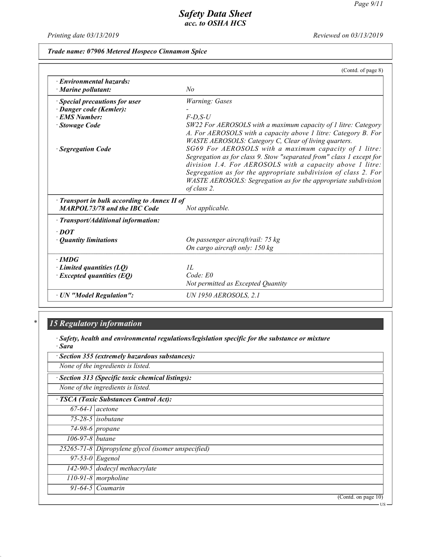US

# Safety Data Sheet acc. to OSHA HCS

Printing date 03/13/2019 Reviewed on 03/13/2019

Trade name: 07906 Metered Hospeco Cinnamon Spice

|                                                       | (Contd. of page 8)                                                                                                                                                                                                                                                                                                                                                                                                                                                       |
|-------------------------------------------------------|--------------------------------------------------------------------------------------------------------------------------------------------------------------------------------------------------------------------------------------------------------------------------------------------------------------------------------------------------------------------------------------------------------------------------------------------------------------------------|
| · Environmental hazards:<br>$\cdot$ Marine pollutant: | N <sub>o</sub>                                                                                                                                                                                                                                                                                                                                                                                                                                                           |
| · Special precautions for user                        | Warning: Gases                                                                                                                                                                                                                                                                                                                                                                                                                                                           |
| · Danger code (Kemler):                               |                                                                                                                                                                                                                                                                                                                                                                                                                                                                          |
| · EMS Number:                                         | $F$ -D,S-U                                                                                                                                                                                                                                                                                                                                                                                                                                                               |
| · Stowage Code                                        | SW22 For AEROSOLS with a maximum capacity of 1 litre: Category                                                                                                                                                                                                                                                                                                                                                                                                           |
| · Segregation Code                                    | A. For AEROSOLS with a capacity above 1 litre: Category B. For<br>WASTE AEROSOLS: Category C, Clear of living quarters.<br>SG69 For AEROSOLS with a maximum capacity of 1 litre:<br>Segregation as for class 9. Stow "separated from" class 1 except for<br>division 1.4. For AEROSOLS with a capacity above 1 litre:<br>Segregation as for the appropriate subdivision of class 2. For<br>WASTE AEROSOLS: Segregation as for the appropriate subdivision<br>of class 2. |
| Transport in bulk according to Annex II of            |                                                                                                                                                                                                                                                                                                                                                                                                                                                                          |
| <b>MARPOL73/78 and the IBC Code</b>                   | Not applicable.                                                                                                                                                                                                                                                                                                                                                                                                                                                          |
| · Transport/Additional information:                   |                                                                                                                                                                                                                                                                                                                                                                                                                                                                          |
| $\cdot$ DOT                                           |                                                                                                                                                                                                                                                                                                                                                                                                                                                                          |
| • Quantity limitations                                | On passenger aircraft/rail: 75 kg                                                                                                                                                                                                                                                                                                                                                                                                                                        |
|                                                       | On cargo aircraft only: 150 kg                                                                                                                                                                                                                                                                                                                                                                                                                                           |
| $\cdot$ IMDG                                          |                                                                                                                                                                                                                                                                                                                                                                                                                                                                          |
| $\cdot$ Limited quantities (LQ)                       | II.                                                                                                                                                                                                                                                                                                                                                                                                                                                                      |
| $\cdot$ Excepted quantities (EQ)                      | $Code$ $E0$                                                                                                                                                                                                                                                                                                                                                                                                                                                              |
|                                                       | Not permitted as Excepted Quantity                                                                                                                                                                                                                                                                                                                                                                                                                                       |
| · UN "Model Regulation":                              | <b>UN 1950 AEROSOLS, 2.1</b>                                                                                                                                                                                                                                                                                                                                                                                                                                             |

# 15 Regulatory information

48.0

· Safety, health and environmental regulations/legislation specific for the substance or mixture · Sara

| · Section 355 (extremely hazardous substances): |                                                    |  |  |
|-------------------------------------------------|----------------------------------------------------|--|--|
|                                                 | None of the ingredients is listed.                 |  |  |
|                                                 | · Section 313 (Specific toxic chemical listings):  |  |  |
|                                                 | None of the ingredients is listed.                 |  |  |
|                                                 | · TSCA (Toxic Substances Control Act):             |  |  |
|                                                 | $67-64-1$ acetone                                  |  |  |
|                                                 | $\overline{75-28-5}$ isobutane                     |  |  |
|                                                 | $\sqrt{74-98-6}$ propane                           |  |  |
| 106-97-8 butane                                 |                                                    |  |  |
|                                                 | 25265-71-8 Dipropylene glycol (isomer unspecified) |  |  |
|                                                 | $\overline{97-53}$ -0   Eugenol                    |  |  |
|                                                 | $142-90-5$ dodecyl methacrylate                    |  |  |
|                                                 | $110-91-8$ morpholine                              |  |  |
|                                                 | $91-64-5$ Coumarin                                 |  |  |
|                                                 | (Contd. on page 10)                                |  |  |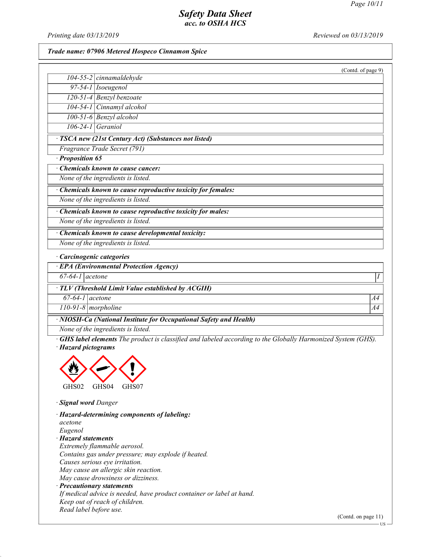Printing date  $03/13/2019$  Reviewed on  $03/13/2019$ 

#### Trade name: 07906 Metered Hospeco Cinnamon Spice

|                                  | (Contd. of page $9$ )                                       |
|----------------------------------|-------------------------------------------------------------|
|                                  | $104 - 55 - 2$ cinnamaldehyde                               |
|                                  | $97-54-1$ <i>Isoeugenol</i>                                 |
|                                  | $120-51-4$ Benzyl benzoate                                  |
|                                  | 104-54-1 Cinnamyl alcohol                                   |
|                                  | 100-51-6 Benzyl alcohol                                     |
| $106-24-1$ Geraniol              |                                                             |
|                                  | · TSCA new (21st Century Act) (Substances not listed)       |
|                                  | Fragrance Trade Secret (791)                                |
| · Proposition 65                 |                                                             |
|                                  | <b>Chemicals known to cause cancer:</b>                     |
|                                  | None of the ingredients is listed.                          |
|                                  | Chemicals known to cause reproductive toxicity for females: |
|                                  | None of the ingredients is listed.                          |
|                                  | Chemicals known to cause reproductive toxicity for males:   |
|                                  | None of the ingredients is listed.                          |
|                                  | Chemicals known to cause developmental toxicity:            |
|                                  | None of the ingredients is listed.                          |
| · Carcinogenic categories        |                                                             |
|                                  | · EPA (Environmental Protection Agency)                     |
| $67-64-1$ acetone                |                                                             |
|                                  | · TLV (Threshold Limit Value established by ACGIH)          |
| $67-64-1$ acetone                | A4                                                          |
| $\overline{110-91-8}$ morpholine | A4                                                          |

· NIOSH-Ca (National Institute for Occupational Safety and Health)

None of the ingredients is listed.

· GHS label elements The product is classified and labeled according to the Globally Harmonized System (GHS). · Hazard pictograms



· Signal word Danger

48.0

· Hazard-determining components of labeling: acetone Eugenol · Hazard statements Extremely flammable aerosol. Contains gas under pressure; may explode if heated. Causes serious eye irritation. May cause an allergic skin reaction. May cause drowsiness or dizziness. · Precautionary statements If medical advice is needed, have product container or label at hand. Keep out of reach of children. Read label before use.

(Contd. on page 11)

US